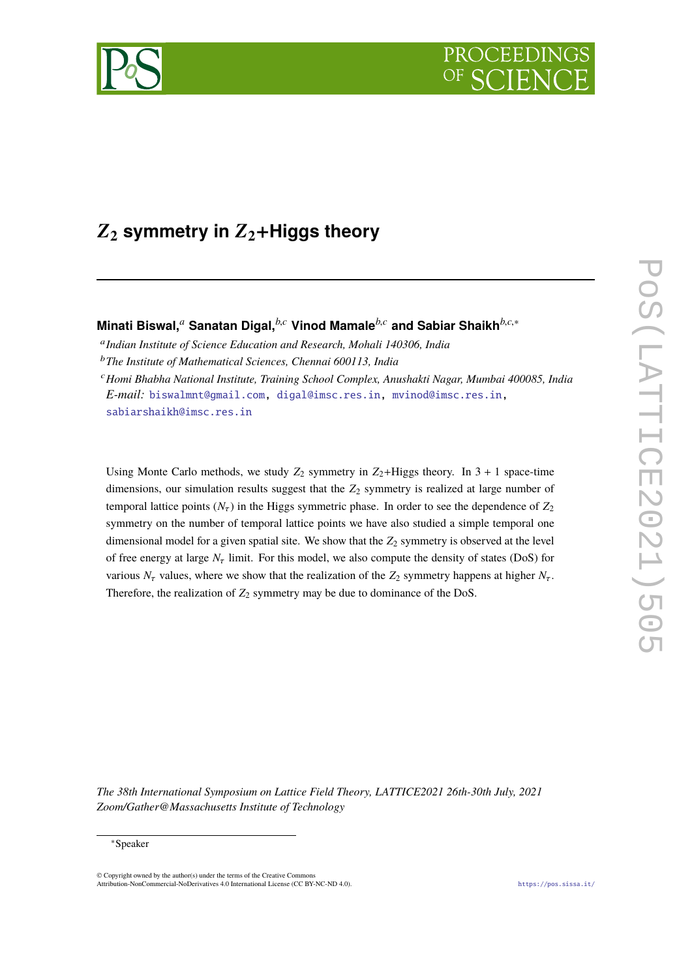

# Z**<sup>2</sup> symmetry in** Z**2**+**Higgs theory**

**Minati Biswal,***<sup>a</sup>* **Sanatan Digal,***b*,*<sup>c</sup>* **Vinod Mamale***b*,*<sup>c</sup>* **and Sabiar Shaikh***b*,*c*,<sup>∗</sup>

a *Indian Institute of Science Education and Research, Mohali 140306, India*

<sup>b</sup>*The Institute of Mathematical Sciences, Chennai 600113, India*

<sup>c</sup>*Homi Bhabha National Institute, Training School Complex, Anushakti Nagar, Mumbai 400085, India E-mail:* [biswalmnt@gmail.com,](mailto:biswalmnt@gmail.com) [digal@imsc.res.in,](mailto:digal@imsc.res.in) [mvinod@imsc.res.in,](mailto:mvinod@imsc.res.in) [sabiarshaikh@imsc.res.in](mailto:sabiarshaikh@imsc.res.in)

Using Monte Carlo methods, we study  $Z_2$  symmetry in  $Z_2$ +Higgs theory. In 3 + 1 space-time dimensions, our simulation results suggest that the  $Z_2$  symmetry is realized at large number of temporal lattice points  $(N<sub>\tau</sub>)$  in the Higgs symmetric phase. In order to see the dependence of  $Z<sub>2</sub>$ symmetry on the number of temporal lattice points we have also studied a simple temporal one dimensional model for a given spatial site. We show that the  $Z_2$  symmetry is observed at the level of free energy at large  $N_{\tau}$  limit. For this model, we also compute the density of states (DoS) for various  $N_{\tau}$  values, where we show that the realization of the  $Z_2$  symmetry happens at higher  $N_{\tau}$ . Therefore, the realization of  $Z_2$  symmetry may be due to dominance of the DoS.

*The 38th International Symposium on Lattice Field Theory, LATTICE2021 26th-30th July, 2021 Zoom/Gather@Massachusetts Institute of Technology*

<sup>∗</sup>Speaker

<sup>©</sup> Copyright owned by the author(s) under the terms of the Creative Commons Attribution-NonCommercial-NoDerivatives 4.0 International License (CC BY-NC-ND 4.0). <https://pos.sissa.it/>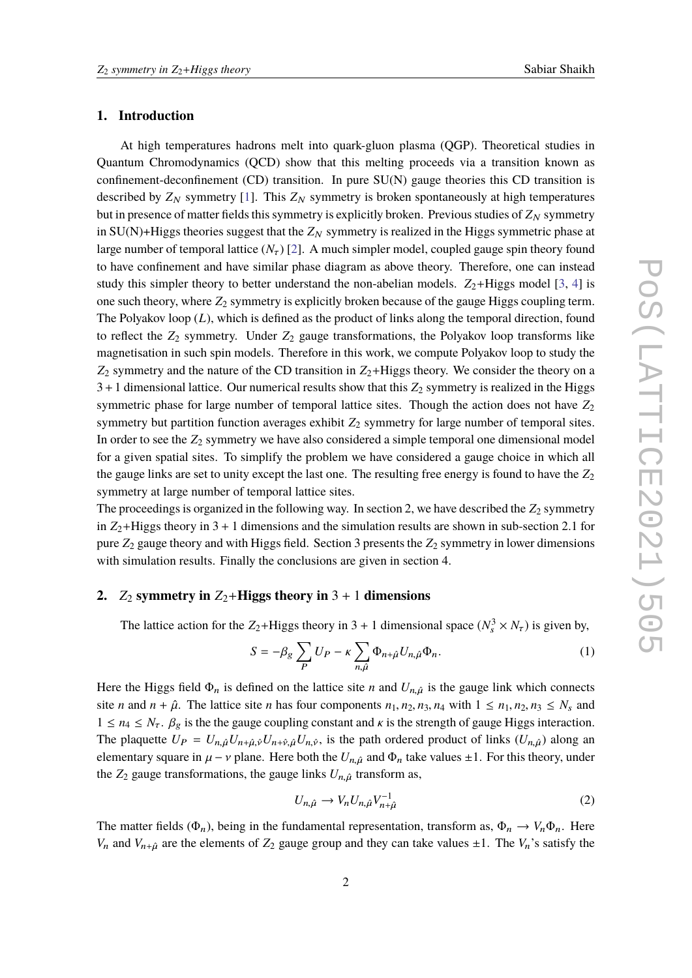## **1. Introduction**

At high temperatures hadrons melt into quark-gluon plasma (QGP). Theoretical studies in Quantum Chromodynamics (QCD) show that this melting proceeds via a transition known as confinement-deconfinement (CD) transition. In pure SU(N) gauge theories this CD transition is described by  $Z_N$  symmetry [\[1\]](#page-6-0). This  $Z_N$  symmetry is broken spontaneously at high temperatures but in presence of matter fields this symmetry is explicitly broken. Previous studies of  $Z_N$  symmetry in  $SU(N)$ +Higgs theories suggest that the  $Z_N$  symmetry is realized in the Higgs symmetric phase at large number of temporal lattice  $(N_{\tau})$  [\[2\]](#page-6-1). A much simpler model, coupled gauge spin theory found to have confinement and have similar phase diagram as above theory. Therefore, one can instead study this simpler theory to better understand the non-abelian models.  $Z_2$ +Higgs model [\[3,](#page-6-2) [4\]](#page-6-3) is one such theory, where *Z*<sup>2</sup> symmetry is explicitly broken because of the gauge Higgs coupling term. The Polyakov loop (*L*), which is defined as the product of links along the temporal direction, found to reflect the  $Z_2$  symmetry. Under  $Z_2$  gauge transformations, the Polyakov loop transforms like magnetisation in such spin models. Therefore in this work, we compute Polyakov loop to study the  $Z_2$  symmetry and the nature of the CD transition in  $Z_2$ +Higgs theory. We consider the theory on a  $3+1$  dimensional lattice. Our numerical results show that this  $Z_2$  symmetry is realized in the Higgs symmetric phase for large number of temporal lattice sites. Though the action does not have *Z*<sup>2</sup> symmetry but partition function averages exhibit  $Z_2$  symmetry for large number of temporal sites. In order to see the *Z*<sup>2</sup> symmetry we have also considered a simple temporal one dimensional model for a given spatial sites. To simplify the problem we have considered a gauge choice in which all the gauge links are set to unity except the last one. The resulting free energy is found to have the *Z*<sup>2</sup> symmetry at large number of temporal lattice sites.

The proceedings is organized in the following way. In section 2, we have described the  $Z_2$  symmetry in  $Z_2$ +Higgs theory in 3 + 1 dimensions and the simulation results are shown in sub-section 2.1 for pure *Z*<sup>2</sup> gauge theory and with Higgs field. Section 3 presents the *Z*<sup>2</sup> symmetry in lower dimensions with simulation results. Finally the conclusions are given in section 4.

### **2.**  $Z_2$  symmetry in  $Z_2$ +Higgs theory in  $3 + 1$  dimensions

The lattice action for the  $Z_2$ +Higgs theory in 3 + 1 dimensional space  $(N_s^3 \times N_\tau)$  is given by,

$$
S = -\beta_g \sum_P U_P - \kappa \sum_{n,\hat{\mu}} \Phi_{n+\hat{\mu}} U_{n,\hat{\mu}} \Phi_n.
$$
 (1)

Here the Higgs field  $\Phi_n$  is defined on the lattice site *n* and  $U_{n,\hat{\mu}}$  is the gauge link which connects site *n* and  $n + \hat{\mu}$ . The lattice site *n* has four components  $n_1, n_2, n_3, n_4$  with  $1 \leq n_1, n_2, n_3 \leq N_s$  and  $1 \le n_4 \le N_\tau$ .  $\beta_g$  is the the gauge coupling constant and  $\kappa$  is the strength of gauge Higgs interaction. The plaquette  $U_P = U_{n,\hat{\mu}} U_{n+\hat{\mu},\hat{\nu}} U_{n+\hat{\nu},\hat{\mu}} U_{n,\hat{\nu}}$ , is the path ordered product of links  $(U_{n,\hat{\mu}})$  along an elementary square in  $\mu - \nu$  plane. Here both the  $U_{n,\hat{\mu}}$  and  $\Phi_n$  take values  $\pm 1$ . For this theory, under the  $Z_2$  gauge transformations, the gauge links  $U_{n,\hat{\mu}}$  transform as,

$$
U_{n,\hat{\mu}} \to V_n U_{n,\hat{\mu}} V_{n+\hat{\mu}}^{-1}
$$
 (2)

The matter fields ( $\Phi_n$ ), being in the fundamental representation, transform as,  $\Phi_n \to V_n \Phi_n$ . Here *V<sub>n</sub>* and *V<sub>n+* $\hat{\mu}$  are the elements of  $Z_2$  gauge group and they can take values  $\pm 1$ . The *V<sub>n</sub>*'s satisfy the</sub>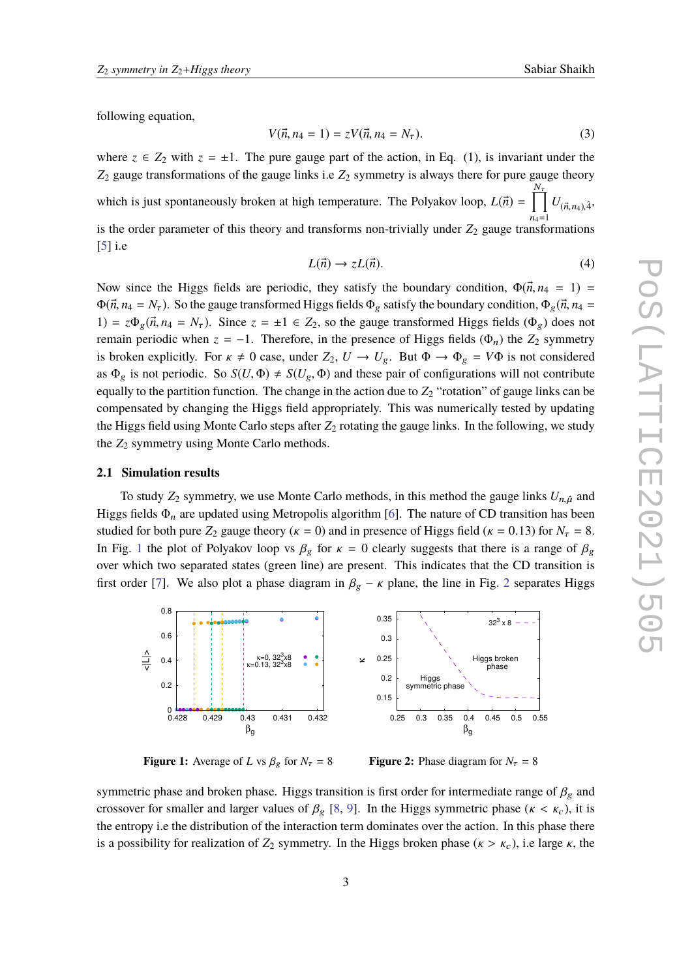following equation,

$$
V(\vec{n}, n_4 = 1) = zV(\vec{n}, n_4 = N_\tau). \tag{3}
$$

where  $z \in Z_2$  with  $z = \pm 1$ . The pure gauge part of the action, in Eq. (1), is invariant under the *Z*<sup>2</sup> gauge transformations of the gauge links i.e *Z*<sup>2</sup> symmetry is always there for pure gauge theory which is just spontaneously broken at high temperature. The Polyakov loop,  $L(\vec{n}) = \prod_{k=1}^{N_{\tau}}$  $n_4=1$  $U_{(\vec{n},n_4),\hat{4}}$ is the order parameter of this theory and transforms non-trivially under  $Z_2$  gauge transformations [\[5\]](#page-6-4) i.e

$$
L(\vec{n}) \to zL(\vec{n}). \tag{4}
$$

Now since the Higgs fields are periodic, they satisfy the boundary condition,  $\Phi(\vec{n}, n_4 = 1)$  $\Phi(\vec{n}, n_4 = N_\tau)$ . So the gauge transformed Higgs fields  $\Phi_g$  satisfy the boundary condition,  $\Phi_g(\vec{n}, n_4 = N_\tau)$ 1) =  $z\Phi_g(\vec{n}, n_4 = N_\tau)$ . Since  $z = \pm 1 \in Z_2$ , so the gauge transformed Higgs fields  $(\Phi_g)$  does not remain periodic when  $z = -1$ . Therefore, in the presence of Higgs fields ( $\Phi_n$ ) the  $Z_2$  symmetry is broken explicitly. For  $\kappa \neq 0$  case, under  $Z_2$ ,  $U \rightarrow U_g$ . But  $\Phi \rightarrow \Phi_g = V\Phi$  is not considered as  $\Phi_g$  is not periodic. So  $S(U, \Phi) \neq S(U_g, \Phi)$  and these pair of configurations will not contribute equally to the partition function. The change in the action due to  $Z_2$  "rotation" of gauge links can be compensated by changing the Higgs field appropriately. This was numerically tested by updating the Higgs field using Monte Carlo steps after  $Z_2$  rotating the gauge links. In the following, we study the  $Z_2$  symmetry using Monte Carlo methods.

#### **2.1 Simulation results**

To study  $Z_2$  symmetry, we use Monte Carlo methods, in this method the gauge links  $U_{n,\hat{\mu}}$  and Higgs fields  $\Phi_n$  are updated using Metropolis algorithm [\[6\]](#page-6-5). The nature of CD transition has been studied for both pure  $Z_2$  gauge theory ( $\kappa = 0$ ) and in presence of Higgs field ( $\kappa = 0.13$ ) for  $N_\tau = 8$ . In Fig. [1](#page-2-0) the plot of Polyakov loop vs  $\beta_g$  for  $\kappa = 0$  clearly suggests that there is a range of  $\beta_g$ over which two separated states (green line) are present. This indicates that the CD transition is first order [\[7\]](#page-6-6). We also plot a phase diagram in  $\beta_g - \kappa$  plane, the line in Fig. [2](#page-2-0) separates Higgs

<span id="page-2-0"></span>

**Figure 1:** Average of *L* vs  $\beta_g$  for  $N_\tau = 8$ 

**Figure 2:** Phase diagram for  $N_\tau = 8$ 

symmetric phase and broken phase. Higgs transition is first order for intermediate range of  $\beta_g$  and crossover for smaller and larger values of  $\beta_g$  [\[8,](#page-6-7) [9\]](#page-6-8). In the Higgs symmetric phase ( $\kappa < \kappa_c$ ), it is the entropy i.e the distribution of the interaction term dominates over the action. In this phase there is a possibility for realization of  $Z_2$  symmetry. In the Higgs broken phase ( $\kappa > \kappa_c$ ), i.e large  $\kappa$ , the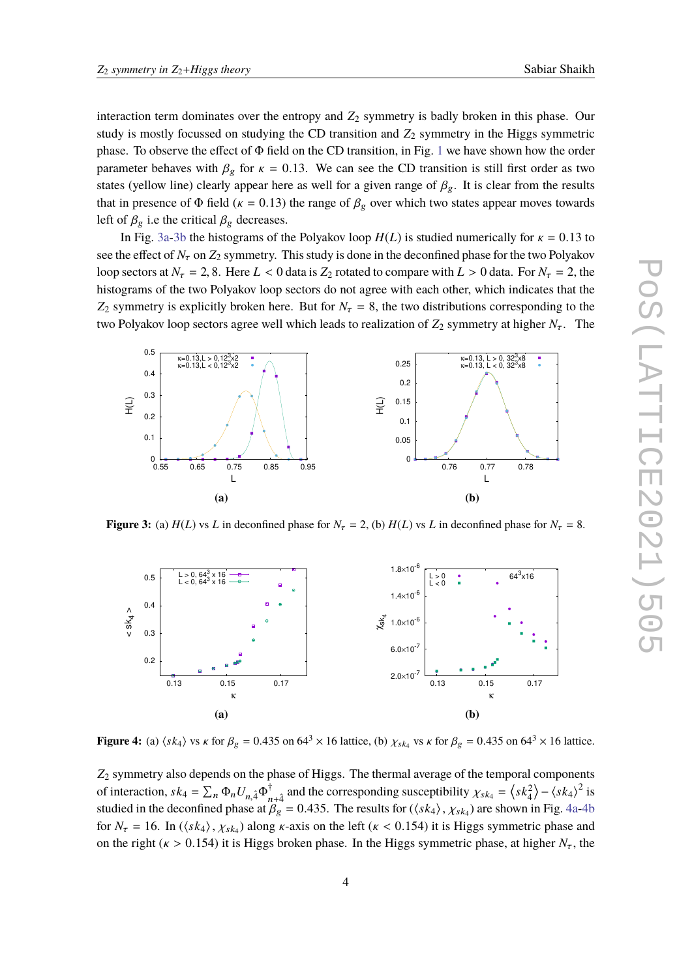interaction term dominates over the entropy and  $Z_2$  symmetry is badly broken in this phase. Our study is mostly focussed on studying the CD transition and  $Z_2$  symmetry in the Higgs symmetric phase. To observe the effect of Φ field on the CD transition, in Fig. [1](#page-2-0) we have shown how the order parameter behaves with  $\beta_g$  for  $\kappa = 0.13$ . We can see the CD transition is still first order as two states (yellow line) clearly appear here as well for a given range of  $\beta_g$ . It is clear from the results that in presence of  $\Phi$  field ( $\kappa = 0.13$ ) the range of  $\beta_g$  over which two states appear moves towards left of  $\beta_g$  i.e the critical  $\beta_g$  decreases.

In Fig. [3a-3b](#page-3-0) the histograms of the Polyakov loop  $H(L)$  is studied numerically for  $\kappa = 0.13$  to see the effect of  $N_{\tau}$  on  $Z_2$  symmetry. This study is done in the deconfined phase for the two Polyakov loop sectors at  $N_{\tau} = 2$ , 8. Here  $L < 0$  data is  $Z_2$  rotated to compare with  $L > 0$  data. For  $N_{\tau} = 2$ , the histograms of the two Polyakov loop sectors do not agree with each other, which indicates that the *Z*<sub>2</sub> symmetry is explicitly broken here. But for  $N_\tau = 8$ , the two distributions corresponding to the two Polyakov loop sectors agree well which leads to realization of  $Z_2$  symmetry at higher  $N<sub>\tau</sub>$ . The

<span id="page-3-0"></span>

**Figure 3:** (a)  $H(L)$  vs *L* in deconfined phase for  $N<sub>\tau</sub> = 2$ , (b)  $H(L)$  vs *L* in deconfined phase for  $N<sub>\tau</sub> = 8$ .

<span id="page-3-1"></span>

**Figure 4:** (a)  $\langle sk_4 \rangle$  vs  $\kappa$  for  $\beta_g = 0.435$  on  $64^3 \times 16$  lattice, (b)  $\chi_{sk_4}$  vs  $\kappa$  for  $\beta_g = 0.435$  on  $64^3 \times 16$  lattice.

*Z*<sup>2</sup> symmetry also depends on the phase of Higgs. The thermal average of the temporal components of interaction,  $sk_4 = \sum_n \Phi_n U_{n,4} \Phi_n^{\dagger}$ <sup>†</sup><sub>n+4</sub><sup>†</sup> and the corresponding susceptibility  $\chi_{sk_4} = \langle sk_4^2 \rangle - \langle sk_4 \rangle^2$  is studied in the deconfined phase at  $\beta_g = 0.435$ . The results for  $(\langle sk_4 \rangle, \chi_{sk_4})$  are shown in Fig. [4a-4b](#page-3-1)<br>for  $N = 16$ ,  $\ln(\langle sk_1 \rangle, \chi_{sk_4})$  along u guis on the left  $(\chi, \chi_0)$  154) it is Higgs commetting these and for  $N_{\tau} = 16$ . In  $(\langle sk_4 \rangle, \chi_{sk_4})$  along  $\kappa$ -axis on the left  $(\kappa < 0.154)$  it is Higgs symmetric phase and on the right ( $\kappa > 0.154$ ) it is Higgs broken phase. In the Higgs symmetric phase, at higher  $N_{\tau}$ , the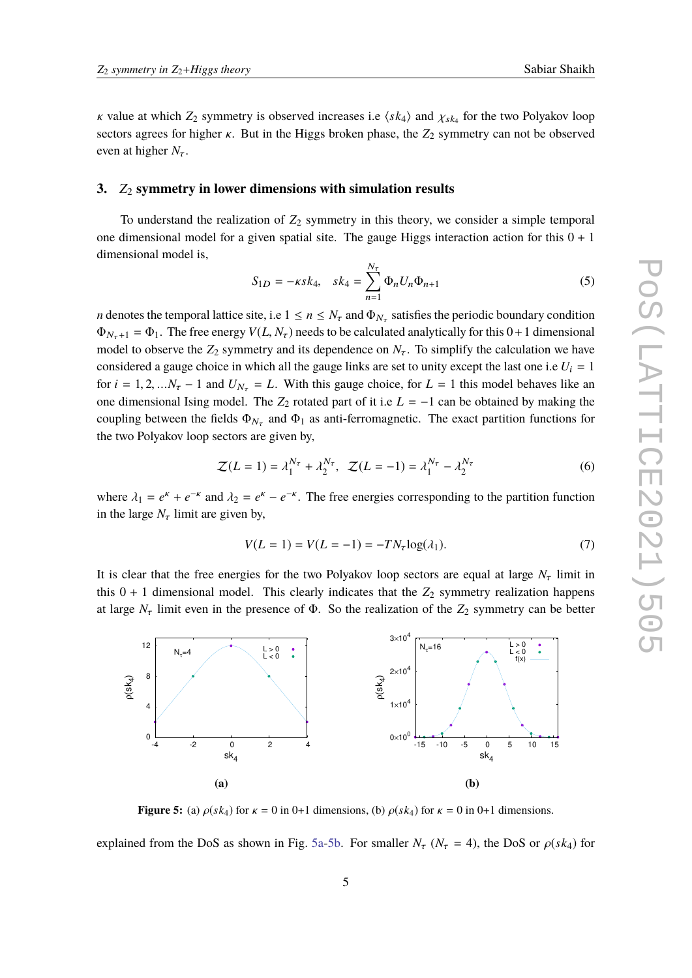*κ* value at which  $Z_2$  symmetry is observed increases i.e  $\langle sk_4 \rangle$  and  $\chi_{sk_4}$  for the two Polyakov loop sectors agrees for higher  $\kappa$ . But in the Higgs broken phase, the  $Z_2$  symmetry can not be observed even at higher  $N_{\tau}$ .

# **3.** *Z*<sup>2</sup> **symmetry in lower dimensions with simulation results**

To understand the realization of  $Z_2$  symmetry in this theory, we consider a simple temporal one dimensional model for a given spatial site. The gauge Higgs interaction action for this  $0 + 1$ dimensional model is,

$$
S_{1D} = -\kappa s k_4, \quad sk_4 = \sum_{n=1}^{N_{\tau}} \Phi_n U_n \Phi_{n+1}
$$
 (5)

*n* denotes the temporal lattice site, i.e  $1 \le n \le N_{\tau}$  and  $\Phi_{N_{\tau}}$  satisfies the periodic boundary condition  $\Phi_{N_{\tau}+1} = \Phi_1$ . The free energy  $V(L, N_{\tau})$  needs to be calculated analytically for this  $0+1$  dimensional model to observe the  $Z_2$  symmetry and its dependence on  $N<sub>\tau</sub>$ . To simplify the calculation we have considered a gauge choice in which all the gauge links are set to unity except the last one i.e  $U_i = 1$ for  $i = 1, 2, \ldots N_{\tau} - 1$  and  $U_{N_{\tau}} = L$ . With this gauge choice, for  $L = 1$  this model behaves like an one dimensional Ising model. The  $Z_2$  rotated part of it i.e  $L = -1$  can be obtained by making the coupling between the fields  $\Phi_{N_{\tau}}$  and  $\Phi_1$  as anti-ferromagnetic. The exact partition functions for the two Polyakov loop sectors are given by,

$$
\mathcal{Z}(L=1) = \lambda_1^{N_{\tau}} + \lambda_2^{N_{\tau}}, \quad \mathcal{Z}(L=-1) = \lambda_1^{N_{\tau}} - \lambda_2^{N_{\tau}}
$$
(6)

where  $\lambda_1 = e^k + e^{-k}$  and  $\lambda_2 = e^k - e^{-k}$ . The free energies corresponding to the partition function in the large M limit are given by in the large  $N_{\tau}$  limit are given by,

$$
V(L = 1) = V(L = -1) = -TN\tau \log(\lambda_1).
$$
 (7)

It is clear that the free energies for the two Polyakov loop sectors are equal at large  $N<sub>\tau</sub>$  limit in this  $0 + 1$  dimensional model. This clearly indicates that the  $Z_2$  symmetry realization happens at large  $N_{\tau}$  limit even in the presence of  $\Phi$ . So the realization of the  $Z_2$  symmetry can be better

<span id="page-4-0"></span>

**Figure 5:** (a)  $\rho(sk_4)$  for  $\kappa = 0$  in 0+1 dimensions, (b)  $\rho(sk_4)$  for  $\kappa = 0$  in 0+1 dimensions.

explained from the DoS as shown in Fig. [5a-5b.](#page-4-0) For smaller  $N_{\tau}$  ( $N_{\tau}$  = 4), the DoS or  $\rho(sk_4)$  for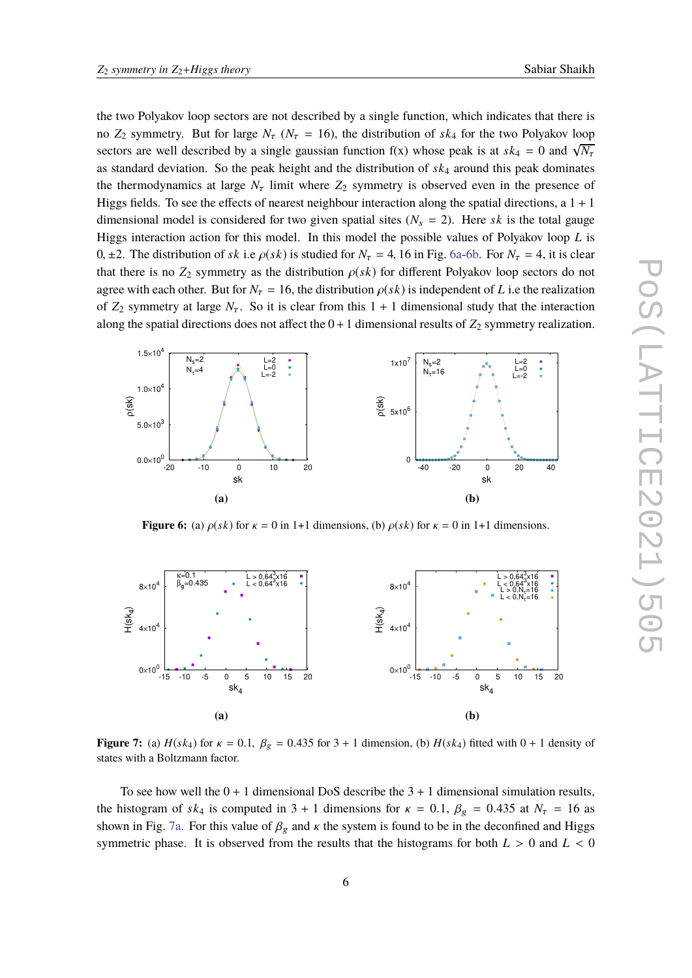the two Polyakov loop sectors are not described by a single function, which indicates that there is no  $Z_2$  symmetry. But for large  $N_\tau$  ( $N_\tau$  = 16), the distribution of *sk*<sub>4</sub> for the two Polyakov loop sectors are well described by a single gaussian function  $f(x)$  whose peak is at  $s k_4 = 0$  and  $\sqrt{N_7}$ as standard deviation. So the peak height and the distribution of *sk*<sup>4</sup> around this peak dominates the thermodynamics at large  $N<sub>\tau</sub>$  limit where  $Z<sub>2</sub>$  symmetry is observed even in the presence of Higgs fields. To see the effects of nearest neighbour interaction along the spatial directions, a  $1 + 1$ dimensional model is considered for two given spatial sites  $(N_s = 2)$ . Here *sk* is the total gauge Higgs interaction action for this model. In this model the possible values of Polyakov loop *L* is 0,  $\pm$ 2. The distribution of *sk* i.e  $\rho$ (*sk*) is studied for  $N_{\tau} = 4$ , 16 in Fig. [6a-6b.](#page-5-0) For  $N_{\tau} = 4$ , it is clear that there is no  $Z_2$  symmetry as the distribution  $\rho(sk)$  for different Polyakov loop sectors do not agree with each other. But for  $N_{\tau} = 16$ , the distribution  $\rho(s k)$  is independent of *L* i.e the realization of  $Z_2$  symmetry at large  $N_{\tau}$ . So it is clear from this  $1 + 1$  dimensional study that the interaction along the spatial directions does not affect the  $0+1$  dimensional results of  $Z_2$  symmetry realization.

<span id="page-5-0"></span>

**Figure 6:** (a)  $\rho(sk)$  for  $\kappa = 0$  in 1+1 dimensions, (b)  $\rho(sk)$  for  $\kappa = 0$  in 1+1 dimensions.

<span id="page-5-1"></span>

**Figure 7:** (a)  $H(sk_4)$  for  $\kappa = 0.1$ ,  $\beta_g = 0.435$  for  $3 + 1$  dimension, (b)  $H(sk_4)$  fitted with  $0 + 1$  density of states with a Boltzmann factor.

To see how well the  $0 + 1$  dimensional DoS describe the  $3 + 1$  dimensional simulation results, the histogram of  $s k_4$  is computed in 3 + 1 dimensions for  $\kappa = 0.1$ ,  $\beta_g = 0.435$  at  $N_\tau = 16$  as shown in Fig. [7a.](#page-5-1) For this value of  $\beta_g$  and  $\kappa$  the system is found to be in the deconfined and Higgs symmetric phase. It is observed from the results that the histograms for both  $L > 0$  and  $L < 0$